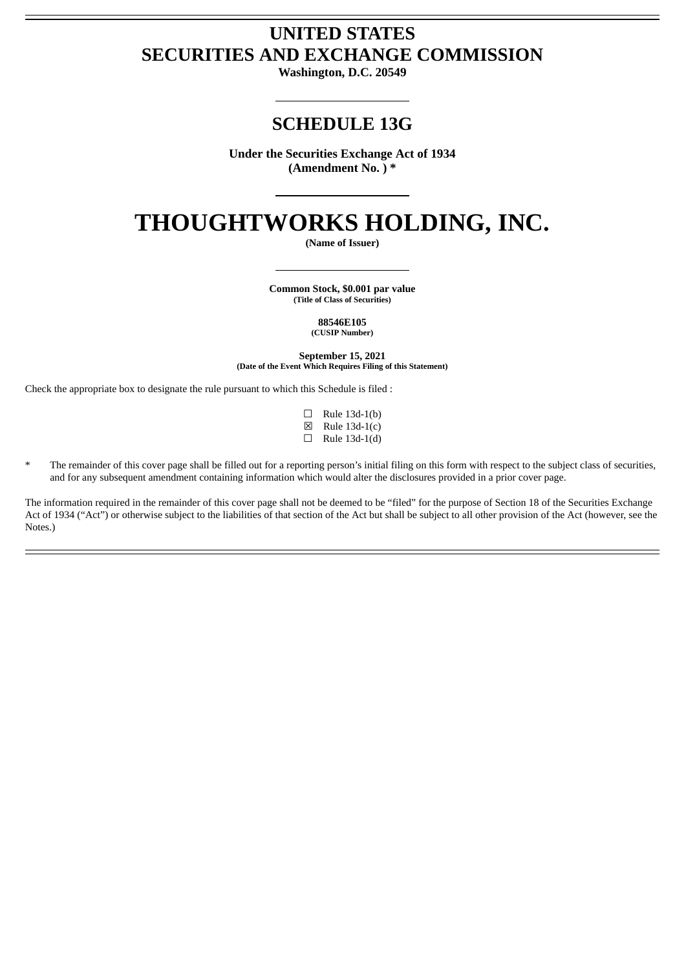# **UNITED STATES SECURITIES AND EXCHANGE COMMISSION**

**Washington, D.C. 20549**

## **SCHEDULE 13G**

**Under the Securities Exchange Act of 1934 (Amendment No. ) \***

# **THOUGHTWORKS HOLDING, INC.**

**(Name of Issuer)**

**Common Stock, \$0.001 par value (Title of Class of Securities)**

> **88546E105 (CUSIP Number)**

**September 15, 2021 (Date of the Event Which Requires Filing of this Statement)**

Check the appropriate box to designate the rule pursuant to which this Schedule is filed :

- $\Box$  Rule 13d-1(b) ☒ Rule 13d-1(c)
- $\Box$  Rule 13d-1(d)
- The remainder of this cover page shall be filled out for a reporting person's initial filing on this form with respect to the subject class of securities, and for any subsequent amendment containing information which would alter the disclosures provided in a prior cover page.

The information required in the remainder of this cover page shall not be deemed to be "filed" for the purpose of Section 18 of the Securities Exchange Act of 1934 ("Act") or otherwise subject to the liabilities of that section of the Act but shall be subject to all other provision of the Act (however, see the Notes.)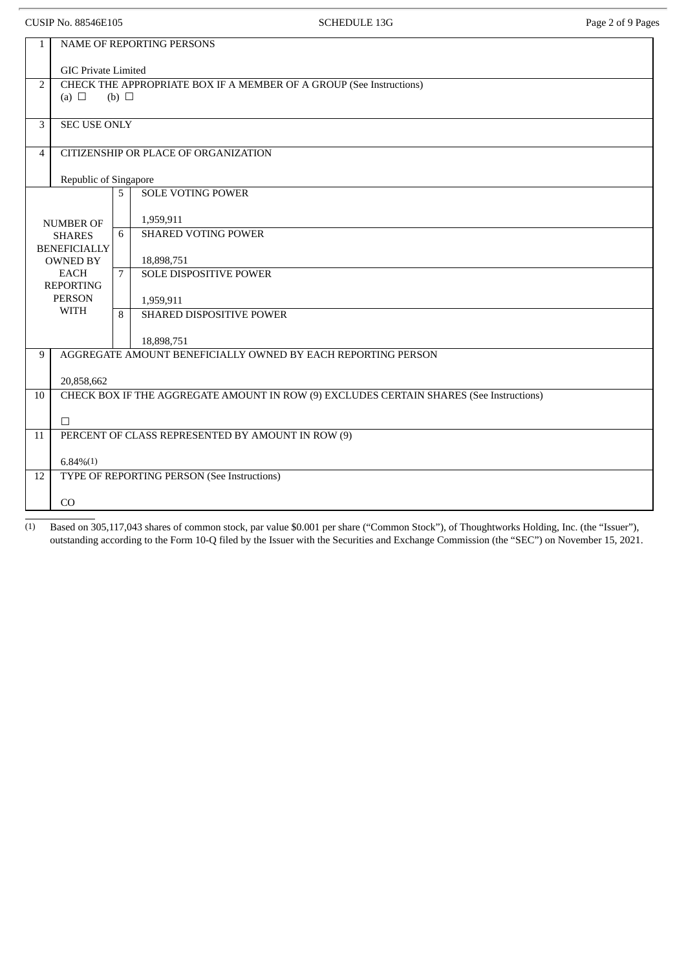CUSIP No. 88546E105 CUSIP No. 88546E105

| 1                   | <b>NAME OF REPORTING PERSONS</b>                                                                     |                          |                                                                                         |  |  |  |
|---------------------|------------------------------------------------------------------------------------------------------|--------------------------|-----------------------------------------------------------------------------------------|--|--|--|
|                     |                                                                                                      |                          |                                                                                         |  |  |  |
|                     | <b>GIC Private Limited</b>                                                                           |                          |                                                                                         |  |  |  |
|                     | CHECK THE APPROPRIATE BOX IF A MEMBER OF A GROUP (See Instructions)<br>2<br>(a) $\Box$<br>(b) $\Box$ |                          |                                                                                         |  |  |  |
|                     |                                                                                                      |                          |                                                                                         |  |  |  |
| 3                   | <b>SEC USE ONLY</b>                                                                                  |                          |                                                                                         |  |  |  |
|                     |                                                                                                      |                          |                                                                                         |  |  |  |
| $\overline{4}$      | CITIZENSHIP OR PLACE OF ORGANIZATION                                                                 |                          |                                                                                         |  |  |  |
|                     | Republic of Singapore                                                                                |                          |                                                                                         |  |  |  |
|                     |                                                                                                      | <b>SOLE VOTING POWER</b> |                                                                                         |  |  |  |
|                     |                                                                                                      | 5                        |                                                                                         |  |  |  |
|                     | <b>NUMBER OF</b>                                                                                     |                          | 1,959,911                                                                               |  |  |  |
|                     | <b>SHARES</b>                                                                                        |                          | <b>SHARED VOTING POWER</b>                                                              |  |  |  |
| <b>BENEFICIALLY</b> |                                                                                                      |                          | 18,898,751                                                                              |  |  |  |
|                     | <b>OWNED BY</b><br><b>EACH</b>                                                                       | 7                        | <b>SOLE DISPOSITIVE POWER</b>                                                           |  |  |  |
| <b>REPORTING</b>    |                                                                                                      |                          |                                                                                         |  |  |  |
|                     | <b>PERSON</b>                                                                                        |                          | 1,959,911                                                                               |  |  |  |
|                     | <b>WITH</b>                                                                                          | 8                        | SHARED DISPOSITIVE POWER                                                                |  |  |  |
|                     |                                                                                                      |                          | 18,898,751                                                                              |  |  |  |
| 9                   |                                                                                                      |                          | AGGREGATE AMOUNT BENEFICIALLY OWNED BY EACH REPORTING PERSON                            |  |  |  |
|                     |                                                                                                      |                          |                                                                                         |  |  |  |
|                     | 20,858,662                                                                                           |                          |                                                                                         |  |  |  |
| 10                  |                                                                                                      |                          | CHECK BOX IF THE AGGREGATE AMOUNT IN ROW (9) EXCLUDES CERTAIN SHARES (See Instructions) |  |  |  |
|                     |                                                                                                      |                          |                                                                                         |  |  |  |
| 11                  | $\Box$                                                                                               |                          |                                                                                         |  |  |  |
|                     | PERCENT OF CLASS REPRESENTED BY AMOUNT IN ROW (9)                                                    |                          |                                                                                         |  |  |  |
|                     | $6.84\%(1)$                                                                                          |                          |                                                                                         |  |  |  |
| 12                  | TYPE OF REPORTING PERSON (See Instructions)                                                          |                          |                                                                                         |  |  |  |
|                     |                                                                                                      |                          |                                                                                         |  |  |  |
|                     | CO                                                                                                   |                          |                                                                                         |  |  |  |

(1) Based on 305,117,043 shares of common stock, par value \$0.001 per share ("Common Stock"), of Thoughtworks Holding, Inc. (the "Issuer"), outstanding according to the Form 10-Q filed by the Issuer with the Securities and Exchange Commission (the "SEC") on November 15, 2021.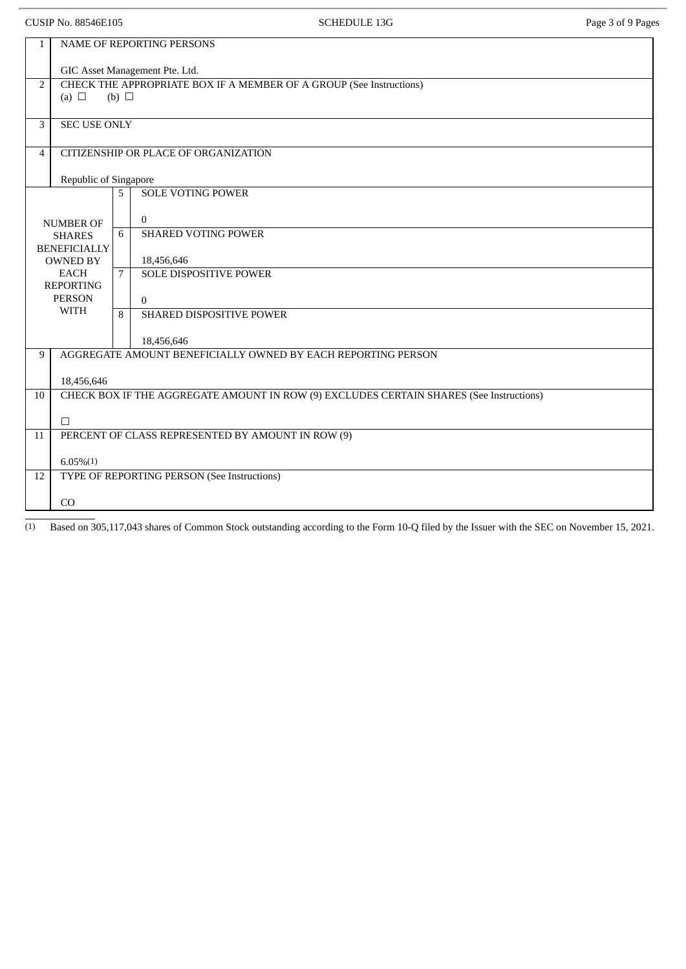| <b>CUSIP No. 88546E105</b>                                                                                |                                                                                                   |             | <b>SCHEDULE 13G</b>                                                    | Page 3 of 9 Pages |  |  |  |
|-----------------------------------------------------------------------------------------------------------|---------------------------------------------------------------------------------------------------|-------------|------------------------------------------------------------------------|-------------------|--|--|--|
| 1                                                                                                         | NAME OF REPORTING PERSONS<br>GIC Asset Management Pte. Ltd.                                       |             |                                                                        |                   |  |  |  |
| $\overline{2}$                                                                                            | CHECK THE APPROPRIATE BOX IF A MEMBER OF A GROUP (See Instructions)<br>(a) $\Box$<br>(b) $\Box$   |             |                                                                        |                   |  |  |  |
| 3                                                                                                         | <b>SEC USE ONLY</b>                                                                               |             |                                                                        |                   |  |  |  |
| 4                                                                                                         | CITIZENSHIP OR PLACE OF ORGANIZATION<br>Republic of Singapore                                     |             |                                                                        |                   |  |  |  |
|                                                                                                           | NUMBER OF<br><b>SHARES</b>                                                                        |             | <b>SOLE VOTING POWER</b><br>$\mathbf{0}$<br><b>SHARED VOTING POWER</b> |                   |  |  |  |
| <b>BENEFICIALLY</b><br><b>OWNED BY</b><br><b>EACH</b><br><b>REPORTING</b><br><b>PERSON</b><br><b>WITH</b> |                                                                                                   | $7^{\circ}$ | 18,456,646<br><b>SOLE DISPOSITIVE POWER</b><br>$\mathbf{0}$            |                   |  |  |  |
|                                                                                                           |                                                                                                   | 8           | SHARED DISPOSITIVE POWER<br>18,456,646                                 |                   |  |  |  |
| 9                                                                                                         | AGGREGATE AMOUNT BENEFICIALLY OWNED BY EACH REPORTING PERSON<br>18,456,646                        |             |                                                                        |                   |  |  |  |
| 10                                                                                                        | CHECK BOX IF THE AGGREGATE AMOUNT IN ROW (9) EXCLUDES CERTAIN SHARES (See Instructions)<br>$\Box$ |             |                                                                        |                   |  |  |  |
| 11                                                                                                        | PERCENT OF CLASS REPRESENTED BY AMOUNT IN ROW (9)                                                 |             |                                                                        |                   |  |  |  |
| 12                                                                                                        | $6.05\%(1)$<br>TYPE OF REPORTING PERSON (See Instructions)                                        |             |                                                                        |                   |  |  |  |
|                                                                                                           | CO                                                                                                |             |                                                                        |                   |  |  |  |

(1) Based on 305,117,043 shares of Common Stock outstanding according to the Form 10-Q filed by the Issuer with the SEC on November 15, 2021.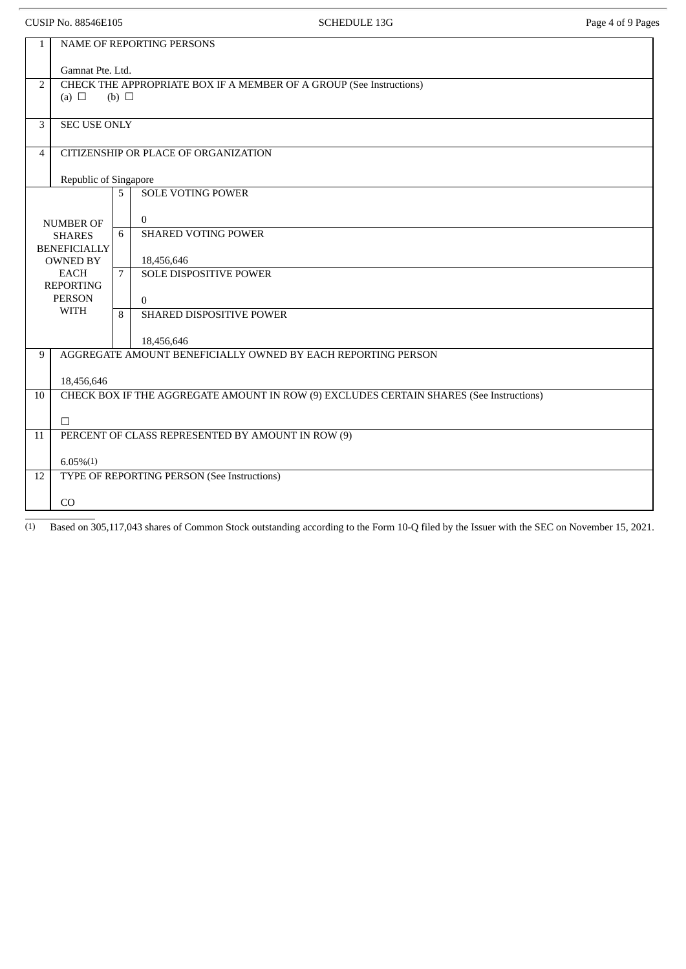CUSIP No. 88546E105 CUSIP No. 88546E105

| $\mathbf{1}$   | NAME OF REPORTING PERSONS                                                               |   |                                                              |  |  |  |
|----------------|-----------------------------------------------------------------------------------------|---|--------------------------------------------------------------|--|--|--|
|                | Gamnat Pte. Ltd.                                                                        |   |                                                              |  |  |  |
| $\overline{2}$ | CHECK THE APPROPRIATE BOX IF A MEMBER OF A GROUP (See Instructions)                     |   |                                                              |  |  |  |
|                | (a) $\Box$<br>(b) $\Box$                                                                |   |                                                              |  |  |  |
| 3              | <b>SEC USE ONLY</b>                                                                     |   |                                                              |  |  |  |
|                |                                                                                         |   |                                                              |  |  |  |
| $\overline{4}$ | CITIZENSHIP OR PLACE OF ORGANIZATION                                                    |   |                                                              |  |  |  |
|                | Republic of Singapore                                                                   |   |                                                              |  |  |  |
|                |                                                                                         | 5 | <b>SOLE VOTING POWER</b>                                     |  |  |  |
|                |                                                                                         |   |                                                              |  |  |  |
|                | <b>NUMBER OF</b>                                                                        | 6 | $\overline{0}$<br><b>SHARED VOTING POWER</b>                 |  |  |  |
|                | <b>SHARES</b><br><b>BENEFICIALLY</b>                                                    |   |                                                              |  |  |  |
|                | <b>OWNED BY</b>                                                                         |   | 18,456,646                                                   |  |  |  |
|                | <b>EACH</b><br><b>REPORTING</b>                                                         | 7 | SOLE DISPOSITIVE POWER                                       |  |  |  |
|                | <b>PERSON</b>                                                                           |   | $\Omega$                                                     |  |  |  |
|                | WITH                                                                                    | 8 | SHARED DISPOSITIVE POWER                                     |  |  |  |
|                |                                                                                         |   |                                                              |  |  |  |
| 9              | 18,456,646                                                                              |   | AGGREGATE AMOUNT BENEFICIALLY OWNED BY EACH REPORTING PERSON |  |  |  |
|                |                                                                                         |   |                                                              |  |  |  |
|                | 18,456,646                                                                              |   |                                                              |  |  |  |
| 10             | CHECK BOX IF THE AGGREGATE AMOUNT IN ROW (9) EXCLUDES CERTAIN SHARES (See Instructions) |   |                                                              |  |  |  |
|                | $\Box$                                                                                  |   |                                                              |  |  |  |
| 11             | PERCENT OF CLASS REPRESENTED BY AMOUNT IN ROW (9)                                       |   |                                                              |  |  |  |
|                |                                                                                         |   |                                                              |  |  |  |
| 12             | $6.05\%(1)$<br>TYPE OF REPORTING PERSON (See Instructions)                              |   |                                                              |  |  |  |
|                |                                                                                         |   |                                                              |  |  |  |
|                | CO                                                                                      |   |                                                              |  |  |  |

(1) Based on 305,117,043 shares of Common Stock outstanding according to the Form 10-Q filed by the Issuer with the SEC on November 15, 2021.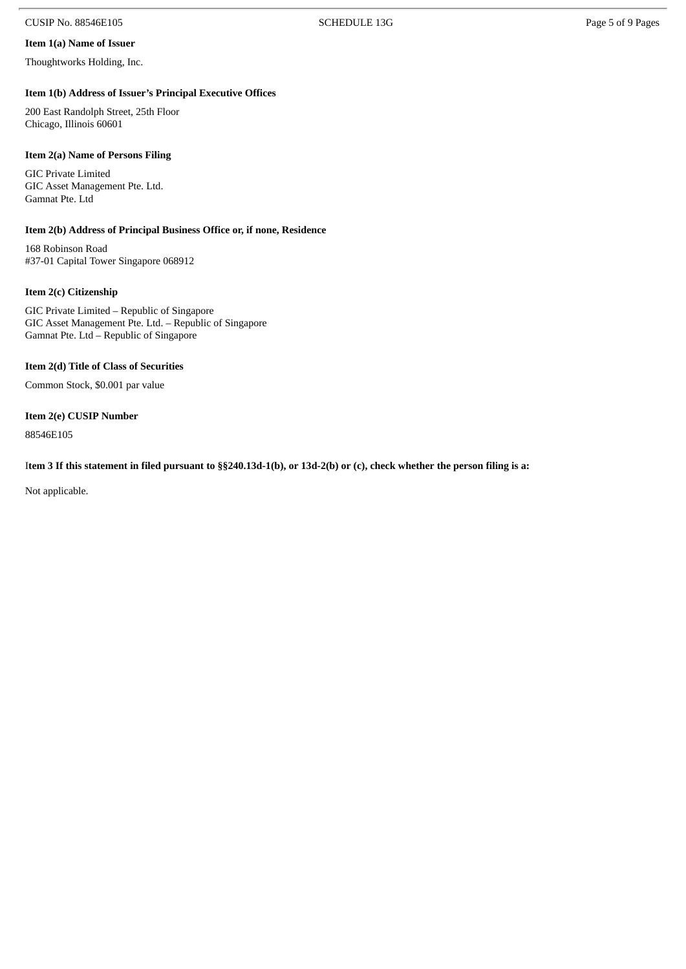#### CUSIP No. 88546E105 SCHEDULE 13G Page 5 of 9 Pages

### **Item 1(a) Name of Issuer**

Thoughtworks Holding, Inc.

#### **Item 1(b) Address of Issuer's Principal Executive Offices**

200 East Randolph Street, 25th Floor Chicago, Illinois 60601

#### **Item 2(a) Name of Persons Filing**

GIC Private Limited GIC Asset Management Pte. Ltd. Gamnat Pte. Ltd

#### **Item 2(b) Address of Principal Business Office or, if none, Residence**

168 Robinson Road #37-01 Capital Tower Singapore 068912

#### **Item 2(c) Citizenship**

GIC Private Limited – Republic of Singapore GIC Asset Management Pte. Ltd. – Republic of Singapore Gamnat Pte. Ltd – Republic of Singapore

#### **Item 2(d) Title of Class of Securities**

Common Stock, \$0.001 par value

#### **Item 2(e) CUSIP Number**

88546E105

#### Item 3 If this statement in filed pursuant to §§240.13d-1(b), or 13d-2(b) or (c), check whether the person filing is a:

Not applicable.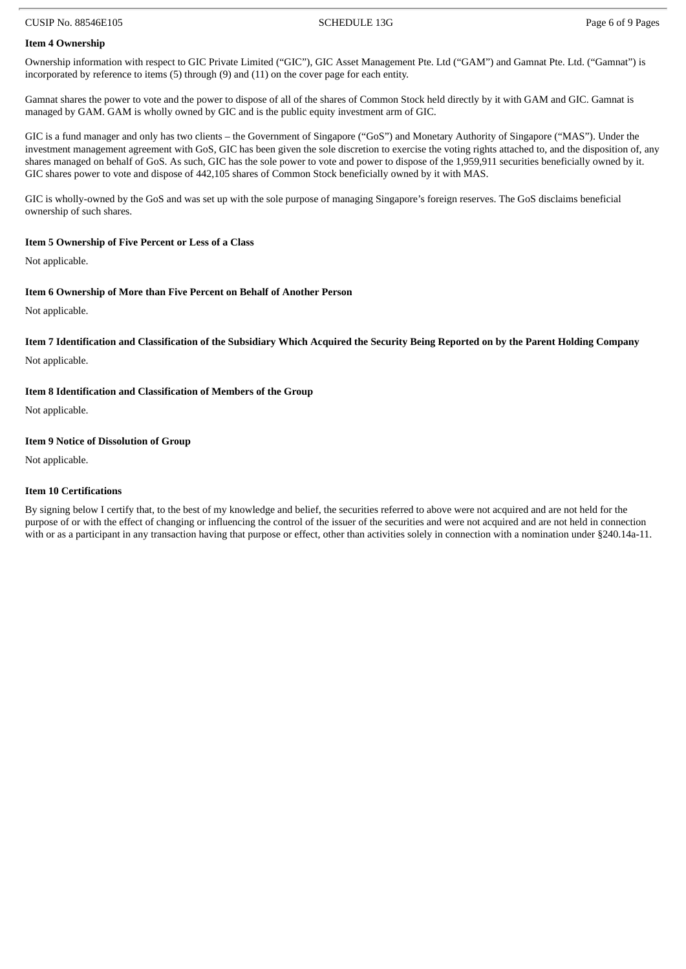#### CUSIP No. 88546E105 SCHEDULE 13G Page 6 of 9 Pages

#### **Item 4 Ownership**

Ownership information with respect to GIC Private Limited ("GIC"), GIC Asset Management Pte. Ltd ("GAM") and Gamnat Pte. Ltd. ("Gamnat") is incorporated by reference to items (5) through (9) and (11) on the cover page for each entity.

Gamnat shares the power to vote and the power to dispose of all of the shares of Common Stock held directly by it with GAM and GIC. Gamnat is managed by GAM. GAM is wholly owned by GIC and is the public equity investment arm of GIC.

GIC is a fund manager and only has two clients – the Government of Singapore ("GoS") and Monetary Authority of Singapore ("MAS"). Under the investment management agreement with GoS, GIC has been given the sole discretion to exercise the voting rights attached to, and the disposition of, any shares managed on behalf of GoS. As such, GIC has the sole power to vote and power to dispose of the 1,959,911 securities beneficially owned by it. GIC shares power to vote and dispose of 442,105 shares of Common Stock beneficially owned by it with MAS.

GIC is wholly-owned by the GoS and was set up with the sole purpose of managing Singapore's foreign reserves. The GoS disclaims beneficial ownership of such shares.

#### **Item 5 Ownership of Five Percent or Less of a Class**

Not applicable.

#### **Item 6 Ownership of More than Five Percent on Behalf of Another Person**

Not applicable.

#### Item 7 Identification and Classification of the Subsidiary Which Acquired the Security Being Reported on by the Parent Holding Company

Not applicable.

#### **Item 8 Identification and Classification of Members of the Group**

Not applicable.

#### **Item 9 Notice of Dissolution of Group**

Not applicable.

#### **Item 10 Certifications**

By signing below I certify that, to the best of my knowledge and belief, the securities referred to above were not acquired and are not held for the purpose of or with the effect of changing or influencing the control of the issuer of the securities and were not acquired and are not held in connection with or as a participant in any transaction having that purpose or effect, other than activities solely in connection with a nomination under §240.14a-11.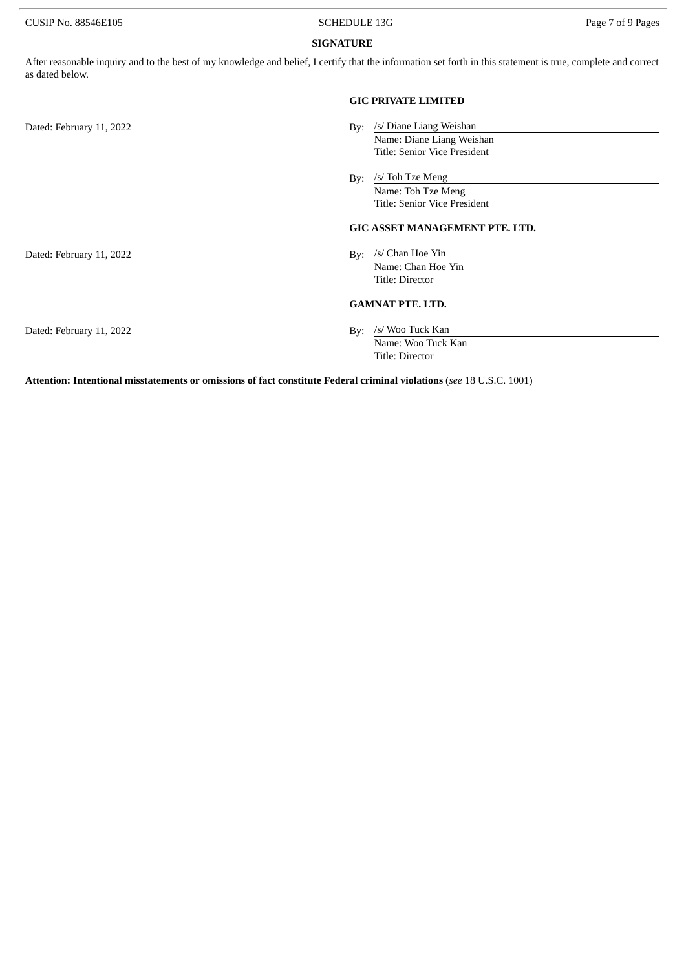CUSIP No. 88546E105 CUSIP No. 88546E105

#### **SIGNATURE**

After reasonable inquiry and to the best of my knowledge and belief, I certify that the information set forth in this statement is true, complete and correct as dated below.

|                          | <b>GIC PRIVATE LIMITED</b>                                                                  |
|--------------------------|---------------------------------------------------------------------------------------------|
| Dated: February 11, 2022 | /s/ Diane Liang Weishan<br>By:<br>Name: Diane Liang Weishan<br>Title: Senior Vice President |
|                          | /s/ Toh Tze Meng<br>By:<br>Name: Toh Tze Meng<br>Title: Senior Vice President               |
|                          | <b>GIC ASSET MANAGEMENT PTE. LTD.</b>                                                       |
| Dated: February 11, 2022 | /s/ Chan Hoe Yin<br>Bv:<br>Name: Chan Hoe Yin<br>Title: Director                            |
|                          | <b>GAMNAT PTE, LTD.</b>                                                                     |
| Dated: February 11, 2022 | /s/ Woo Tuck Kan<br>By:<br>Name: Woo Tuck Kan<br>Title: Director                            |

**Attention: Intentional misstatements or omissions of fact constitute Federal criminal violations** (*see* 18 U.S.C. 1001)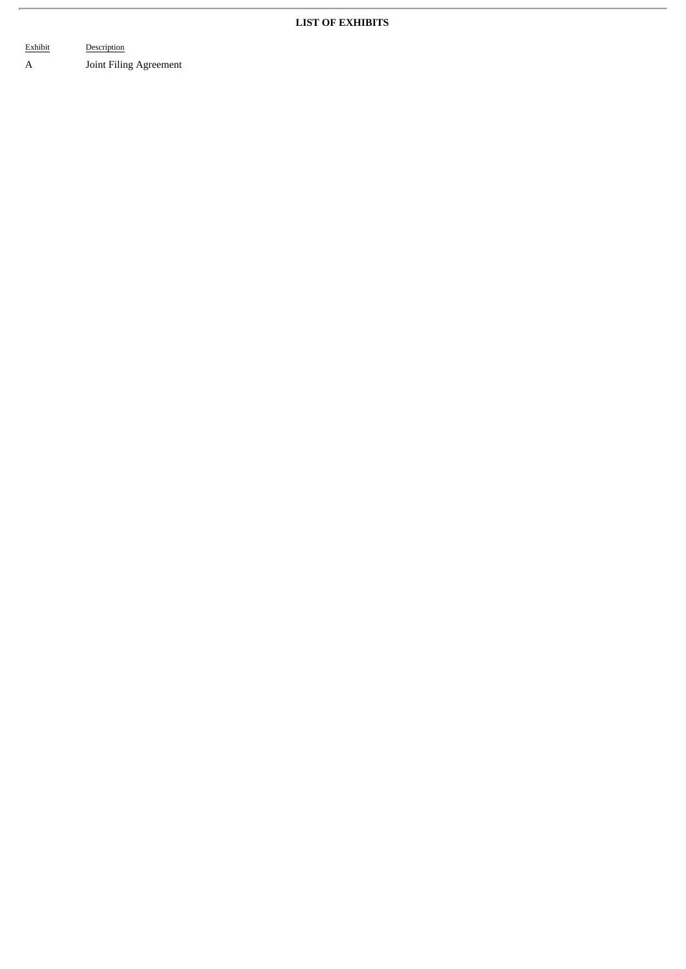#### **LIST OF EXHIBITS**

Exhibit Description A Joint Filing Agreement